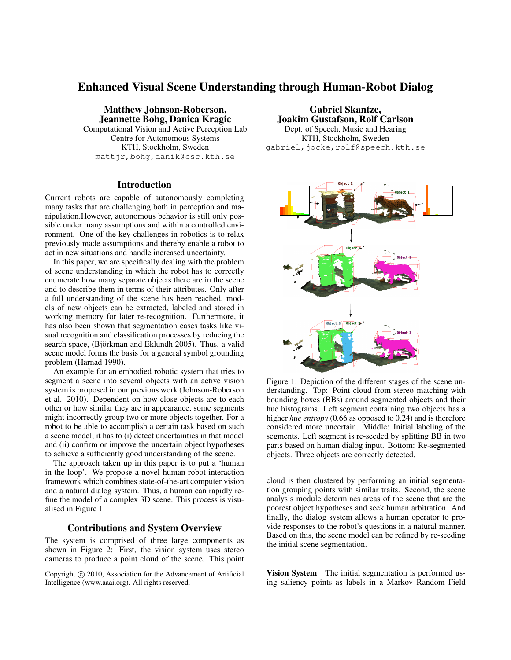# Enhanced Visual Scene Understanding through Human-Robot Dialog

Matthew Johnson-Roberson, Jeannette Bohg, Danica Kragic Computational Vision and Active Perception Lab Centre for Autonomous Systems KTH, Stockholm, Sweden mattjr,bohg,danik@csc.kth.se

# **Introduction**

Current robots are capable of autonomously completing many tasks that are challenging both in perception and manipulation.However, autonomous behavior is still only possible under many assumptions and within a controlled environment. One of the key challenges in robotics is to relax previously made assumptions and thereby enable a robot to act in new situations and handle increased uncertainty.

In this paper, we are specifically dealing with the problem of scene understanding in which the robot has to correctly enumerate how many separate objects there are in the scene and to describe them in terms of their attributes. Only after a full understanding of the scene has been reached, models of new objects can be extracted, labeled and stored in working memory for later re-recognition. Furthermore, it has also been shown that segmentation eases tasks like visual recognition and classification processes by reducing the search space, (Björkman and Eklundh 2005). Thus, a valid scene model forms the basis for a general symbol grounding problem (Harnad 1990).

An example for an embodied robotic system that tries to segment a scene into several objects with an active vision system is proposed in our previous work (Johnson-Roberson et al. 2010). Dependent on how close objects are to each other or how similar they are in appearance, some segments might incorrectly group two or more objects together. For a robot to be able to accomplish a certain task based on such a scene model, it has to (i) detect uncertainties in that model and (ii) confirm or improve the uncertain object hypotheses to achieve a sufficiently good understanding of the scene.

The approach taken up in this paper is to put a 'human in the loop'. We propose a novel human-robot-interaction framework which combines state-of-the-art computer vision and a natural dialog system. Thus, a human can rapidly refine the model of a complex 3D scene. This process is visualised in Figure 1.

### Contributions and System Overview

The system is comprised of three large components as shown in Figure 2: First, the vision system uses stereo cameras to produce a point cloud of the scene. This point

Gabriel Skantze, Joakim Gustafson, Rolf Carlson Dept. of Speech, Music and Hearing KTH, Stockholm, Sweden gabriel, jocke, rolf@speech.kth.se



Figure 1: Depiction of the different stages of the scene understanding. Top: Point cloud from stereo matching with bounding boxes (BBs) around segmented objects and their hue histograms. Left segment containing two objects has a higher *hue entropy* (0.66 as opposed to 0.24) and is therefore considered more uncertain. Middle: Initial labeling of the segments. Left segment is re-seeded by splitting BB in two parts based on human dialog input. Bottom: Re-segmented objects. Three objects are correctly detected.

cloud is then clustered by performing an initial segmentation grouping points with similar traits. Second, the scene analysis module determines areas of the scene that are the poorest object hypotheses and seek human arbitration. And finally, the dialog system allows a human operator to provide responses to the robot's questions in a natural manner. Based on this, the scene model can be refined by re-seeding the initial scene segmentation.

Vision System The initial segmentation is performed using saliency points as labels in a Markov Random Field

Copyright (c) 2010, Association for the Advancement of Artificial Intelligence (www.aaai.org). All rights reserved.